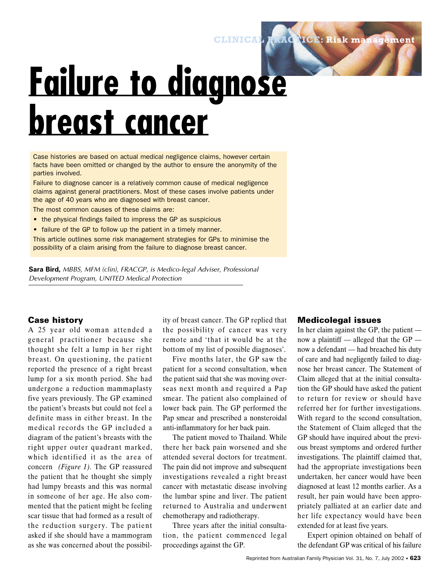# **Failure to diagnose breast cancer**

Case histories are based on actual medical negligence claims, however certain facts have been omitted or changed by the author to ensure the anonymity of the parties involved.

Failure to diagnose cancer is a relatively common cause of medical negligence claims against general practitioners. Most of these cases involve patients under the age of 40 years who are diagnosed with breast cancer.

The most common causes of these claims are:

- the physical findings failed to impress the GP as suspicious
- failure of the GP to follow up the patient in a timely manner.

This article outlines some risk management strategies for GPs to minimise the possibility of a claim arising from the failure to diagnose breast cancer.

**Sara Bird,** *MBBS, MFM (clin), FRACGP, is Medico-legal Adviser, Professional Development Program, UNITED Medical Protection*

### **Case history**

A 25 year old woman attended a general practitioner because she thought she felt a lump in her right breast. On questioning, the patient reported the presence of a right breast lump for a six month period. She had undergone a reduction mammaplasty five years previously. The GP examined the patient's breasts but could not feel a definite mass in either breast. In the medical records the GP included a diagram of the patient's breasts with the right upper outer quadrant marked, which identified it as the area of concern *(Figure 1).* The GP reassured the patient that he thought she simply had lumpy breasts and this was normal in someone of her age. He also commented that the patient might be feeling scar tissue that had formed as a result of the reduction surgery. The patient asked if she should have a mammogram as she was concerned about the possibility of breast cancer. The GP replied that the possibility of cancer was very remote and 'that it would be at the bottom of my list of possible diagnoses'.

Five months later, the GP saw the patient for a second consultation, when the patient said that she was moving overseas next month and required a Pap smear. The patient also complained of lower back pain. The GP performed the Pap smear and prescribed a nonsteroidal anti-inflammatory for her back pain.

The patient moved to Thailand. While there her back pain worsened and she attended several doctors for treatment. The pain did not improve and subsequent investigations revealed a right breast cancer with metastatic disease involving the lumbar spine and liver. The patient returned to Australia and underwent chemotherapy and radiotherapy.

Three years after the initial consultation, the patient commenced legal proceedings against the GP.

#### **Medicolegal issues**

**CLINICAL PRACTICE: Risk management**

In her claim against the GP, the patient now a plaintiff — alleged that the GP now a defendant — had breached his duty of care and had negligently failed to diagnose her breast cancer. The Statement of Claim alleged that at the initial consultation the GP should have asked the patient to return for review or should have referred her for further investigations. With regard to the second consultation, the Statement of Claim alleged that the GP should have inquired about the previous breast symptoms and ordered further investigations. The plaintiff claimed that, had the appropriate investigations been undertaken, her cancer would have been diagnosed at least 12 months earlier. As a result, her pain would have been appropriately palliated at an earlier date and her life expectancy would have been extended for at least five years.

Expert opinion obtained on behalf of the defendant GP was critical of his failure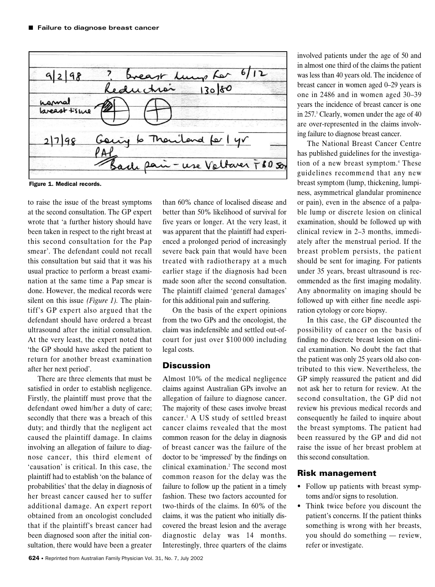

Figure 1. Medical records.

to raise the issue of the breast symptoms at the second consultation. The GP expert wrote that 'a further history should have been taken in respect to the right breast at this second consultation for the Pap smear'. The defendant could not recall this consultation but said that it was his usual practice to perform a breast examination at the same time a Pap smear is done. However, the medical records were silent on this issue *(Figure 1).* The plaintiff's GP expert also argued that the defendant should have ordered a breast ultrasound after the initial consultation. At the very least, the expert noted that 'the GP should have asked the patient to return for another breast examination after her next period'.

There are three elements that must be satisfied in order to establish negligence. Firstly, the plaintiff must prove that the defendant owed him/her a duty of care; secondly that there was a breach of this duty; and thirdly that the negligent act caused the plaintiff damage. In claims involving an allegation of failure to diagnose cancer, this third element of 'causation' is critical. In this case, the plaintiff had to establish 'on the balance of probabilities' that the delay in diagnosis of her breast cancer caused her to suffer additional damage. An expert report obtained from an oncologist concluded that if the plaintiff's breast cancer had been diagnosed soon after the initial consultation, there would have been a greater

than 60% chance of localised disease and better than 50% likelihood of survival for five years or longer. At the very least, it was apparent that the plaintiff had experienced a prolonged period of increasingly severe back pain that would have been treated with radiotherapy at a much earlier stage if the diagnosis had been made soon after the second consultation. The plaintiff claimed 'general damages' for this additional pain and suffering.

On the basis of the expert opinions from the two GPs and the oncologist, the claim was indefensible and settled out-ofcourt for just over \$100 000 including legal costs.

# **Discussion**

Almost 10% of the medical negligence claims against Australian GPs involve an allegation of failure to diagnose cancer. The majority of these cases involve breast cancer.1 A US study of settled breast cancer claims revealed that the most common reason for the delay in diagnosis of breast cancer was the failure of the doctor to be 'impressed' by the findings on clinical examination.2 The second most common reason for the delay was the failure to follow up the patient in a timely fashion. These two factors accounted for two-thirds of the claims. In 60% of the claims, it was the patient who initially discovered the breast lesion and the average diagnostic delay was 14 months. Interestingly, three quarters of the claims involved patients under the age of 50 and in almost one third of the claims the patient was less than 40 years old. The incidence of breast cancer in women aged 0–29 years is one in 2486 and in women aged 30–39 years the incidence of breast cancer is one in 257.3 Clearly, women under the age of 40 are over-represented in the claims involving failure to diagnose breast cancer.

The National Breast Cancer Centre has published guidelines for the investigation of a new breast symptom.4 These guidelines recommend that any new breast symptom (lump, thickening, lumpiness, asymmetrical glandular prominence or pain), even in the absence of a palpable lump or discrete lesion on clinical examination, should be followed up with clinical review in 2–3 months, immediately after the menstrual period. If the breast problem persists, the patient should be sent for imaging. For patients under 35 years, breast ultrasound is recommended as the first imaging modality. Any abnormality on imaging should be followed up with either fine needle aspiration cytology or core biopsy.

In this case, the GP discounted the possibility of cancer on the basis of finding no discrete breast lesion on clinical examination. No doubt the fact that the patient was only 25 years old also contributed to this view. Nevertheless, the GP simply reassured the patient and did not ask her to return for review. At the second consultation, the GP did not review his previous medical records and consequently he failed to inquire about the breast symptoms. The patient had been reassured by the GP and did not raise the issue of her breast problem at this second consultation.

#### **Risk management**

- Follow up patients with breast symptoms and/or signs to resolution.
- Think twice before you discount the patient's concerns. If the patient thinks something is wrong with her breasts, you should do something — review, refer or investigate.